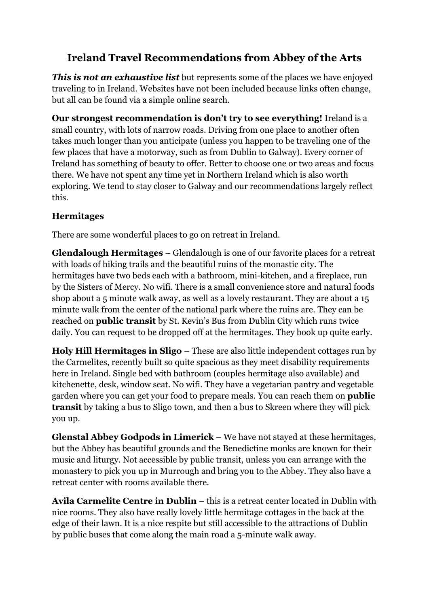# **Ireland Travel Recommendations from Abbey of the Arts**

*This is not an exhaustive list* but represents some of the places we have enjoyed traveling to in Ireland. Websites have not been included because links often change, but all can be found via a simple online search.

**Our strongest recommendation is don't try to see everything!** Ireland is a small country, with lots of narrow roads. Driving from one place to another often takes much longer than you anticipate (unless you happen to be traveling one of the few places that have a motorway, such as from Dublin to Galway). Every corner of Ireland has something of beauty to offer. Better to choose one or two areas and focus there. We have not spent any time yet in Northern Ireland which is also worth exploring. We tend to stay closer to Galway and our recommendations largely reflect this.

## **Hermitages**

There are some wonderful places to go on retreat in Ireland.

**Glendalough Hermitages** – Glendalough is one of our favorite places for a retreat with loads of hiking trails and the beautiful ruins of the monastic city. The hermitages have two beds each with a bathroom, mini-kitchen, and a fireplace, run by the Sisters of Mercy. No wifi. There is a small convenience store and natural foods shop about a 5 minute walk away, as well as a lovely restaurant. They are about a 15 minute walk from the center of the national park where the ruins are. They can be reached on **public transit** by St. Kevin's Bus from Dublin City which runs twice daily. You can request to be dropped off at the hermitages. They book up quite early.

**Holy Hill Hermitages in Sligo** – These are also little independent cottages run by the Carmelites, recently built so quite spacious as they meet disability requirements here in Ireland. Single bed with bathroom (couples hermitage also available) and kitchenette, desk, window seat. No wifi. They have a vegetarian pantry and vegetable garden where you can get your food to prepare meals. You can reach them on **public transit** by taking a bus to Sligo town, and then a bus to Skreen where they will pick you up.

**Glenstal Abbey Godpods in Limerick** – We have not stayed at these hermitages, but the Abbey has beautiful grounds and the Benedictine monks are known for their music and liturgy. Not accessible by public transit, unless you can arrange with the monastery to pick you up in Murrough and bring you to the Abbey. They also have a retreat center with rooms available there.

**Avila Carmelite Centre in Dublin** – this is a retreat center located in Dublin with nice rooms. They also have really lovely little hermitage cottages in the back at the edge of their lawn. It is a nice respite but still accessible to the attractions of Dublin by public buses that come along the main road a 5-minute walk away.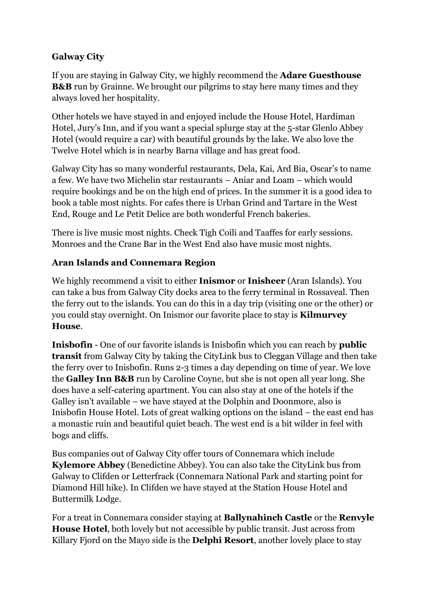## **Galway City**

If you are staying in Galway City, we highly recommend the **Adare Guesthouse B&B** run by Grainne. We brought our pilgrims to stay here many times and they always loved her hospitality.

Other hotels we have stayed in and enjoyed include the House Hotel, Hardiman Hotel, Jury's Inn, and if you want a special splurge stay at the 5-star Glenlo Abbey Hotel (would require a car) with beautiful grounds by the lake. We also love the Twelve Hotel which is in nearby Barna village and has great food.

Galway City has so many wonderful restaurants, Dela, Kai, Ard Bia, Oscar's to name a few. We have two Michelin star restaurants – Aniar and Loam – which would require bookings and be on the high end of prices. In the summer it is a good idea to book a table most nights. For cafes there is Urban Grind and Tartare in the West End, Rouge and Le Petit Delice are both wonderful French bakeries.

There is live music most nights. Check Tigh Coili and Taaffes for early sessions. Monroes and the Crane Bar in the West End also have music most nights.

## **Aran Islands and Connemara Region**

We highly recommend a visit to either **Inismor** or **Inisheer** (Aran Islands). You can take a bus from Galway City docks area to the ferry terminal in Rossaveal. Then the ferry out to the islands. You can do this in a day trip (visiting one or the other) or you could stay overnight. On Inismor our favorite place to stay is **Kilmurvey House**.

**Inisbofin** - One of our favorite islands is Inisbofin which you can reach by **public transit** from Galway City by taking the CityLink bus to Cleggan Village and then take the ferry over to Inisbofin. Runs 2-3 times a day depending on time of year. We love the **Galley Inn B&B** run by Caroline Coyne, but she is not open all year long. She does have a self-catering apartment. You can also stay at one of the hotels if the Galley isn't available – we have stayed at the Dolphin and Doonmore, also is Inisbofin House Hotel. Lots of great walking options on the island – the east end has a monastic ruin and beautiful quiet beach. The west end is a bit wilder in feel with bogs and cliffs.

Bus companies out of Galway City offer tours of Connemara which include **Kylemore Abbey** (Benedictine Abbey). You can also take the CityLink bus from Galway to Clifden or Letterfrack (Connemara National Park and starting point for Diamond Hill hike). In Clifden we have stayed at the Station House Hotel and Buttermilk Lodge.

For a treat in Connemara consider staying at **Ballynahinch Castle** or the **Renvyle House Hotel**, both lovely but not accessible by public transit. Just across from Killary Fjord on the Mayo side is the **Delphi Resort**, another lovely place to stay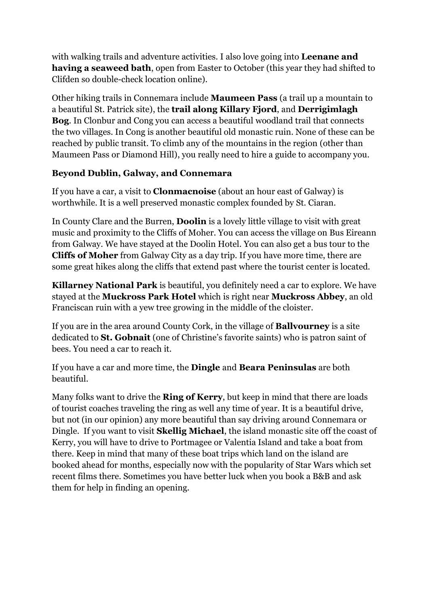with walking trails and adventure activities. I also love going into **Leenane and having a seaweed bath**, open from Easter to October (this year they had shifted to Clifden so double-check location online).

Other hiking trails in Connemara include **Maumeen Pass** (a trail up a mountain to a beautiful St. Patrick site), the **trail along Killary Fjord**, and **Derrigimlagh Bog**. In Clonbur and Cong you can access a beautiful woodland trail that connects the two villages. In Cong is another beautiful old monastic ruin. None of these can be reached by public transit. To climb any of the mountains in the region (other than Maumeen Pass or Diamond Hill), you really need to hire a guide to accompany you.

#### **Beyond Dublin, Galway, and Connemara**

If you have a car, a visit to **Clonmacnoise** (about an hour east of Galway) is worthwhile. It is a well preserved monastic complex founded by St. Ciaran.

In County Clare and the Burren, **Doolin** is a lovely little village to visit with great music and proximity to the Cliffs of Moher. You can access the village on Bus Eireann from Galway. We have stayed at the Doolin Hotel. You can also get a bus tour to the **Cliffs of Moher** from Galway City as a day trip. If you have more time, there are some great hikes along the cliffs that extend past where the tourist center is located.

**Killarney National Park** is beautiful, you definitely need a car to explore. We have stayed at the **Muckross Park Hotel** which is right near **Muckross Abbey**, an old Franciscan ruin with a yew tree growing in the middle of the cloister.

If you are in the area around County Cork, in the village of **Ballvourney** is a site dedicated to **St. Gobnait** (one of Christine's favorite saints) who is patron saint of bees. You need a car to reach it.

If you have a car and more time, the **Dingle** and **Beara Peninsulas** are both beautiful.

Many folks want to drive the **Ring of Kerry**, but keep in mind that there are loads of tourist coaches traveling the ring as well any time of year. It is a beautiful drive, but not (in our opinion) any more beautiful than say driving around Connemara or Dingle. If you want to visit **Skellig Michael**, the island monastic site off the coast of Kerry, you will have to drive to Portmagee or Valentia Island and take a boat from there. Keep in mind that many of these boat trips which land on the island are booked ahead for months, especially now with the popularity of Star Wars which set recent films there. Sometimes you have better luck when you book a B&B and ask them for help in finding an opening.